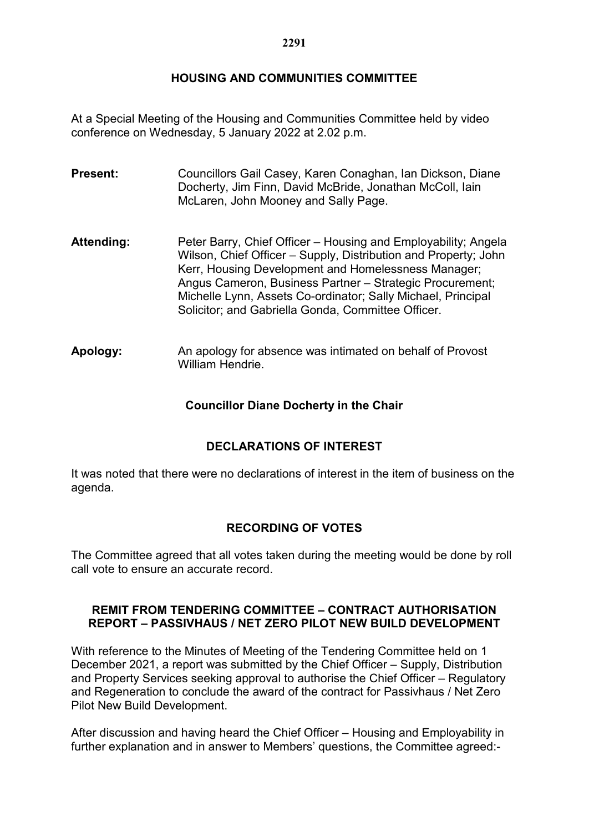## **HOUSING AND COMMUNITIES COMMITTEE**

At a Special Meeting of the Housing and Communities Committee held by video conference on Wednesday, 5 January 2022 at 2.02 p.m.

- **Present:** Councillors Gail Casey, Karen Conaghan, Ian Dickson, Diane Docherty, Jim Finn, David McBride, Jonathan McColl, Iain McLaren, John Mooney and Sally Page.
- Attending: Peter Barry, Chief Officer Housing and Employability; Angela Wilson, Chief Officer – Supply, Distribution and Property; John Kerr, Housing Development and Homelessness Manager; Angus Cameron, Business Partner – Strategic Procurement; Michelle Lynn, Assets Co-ordinator; Sally Michael, Principal Solicitor; and Gabriella Gonda, Committee Officer.
- **Apology:** An apology for absence was intimated on behalf of Provost William Hendrie.

## **Councillor Diane Docherty in the Chair**

# **DECLARATIONS OF INTEREST**

It was noted that there were no declarations of interest in the item of business on the agenda.

## **RECORDING OF VOTES**

The Committee agreed that all votes taken during the meeting would be done by roll call vote to ensure an accurate record.

#### **REMIT FROM TENDERING COMMITTEE – CONTRACT AUTHORISATION REPORT – PASSIVHAUS / NET ZERO PILOT NEW BUILD DEVELOPMENT**

With reference to the Minutes of Meeting of the Tendering Committee held on 1 December 2021, a report was submitted by the Chief Officer – Supply, Distribution and Property Services seeking approval to authorise the Chief Officer – Regulatory and Regeneration to conclude the award of the contract for Passivhaus / Net Zero Pilot New Build Development.

After discussion and having heard the Chief Officer – Housing and Employability in further explanation and in answer to Members' questions, the Committee agreed:-

#### **2291**